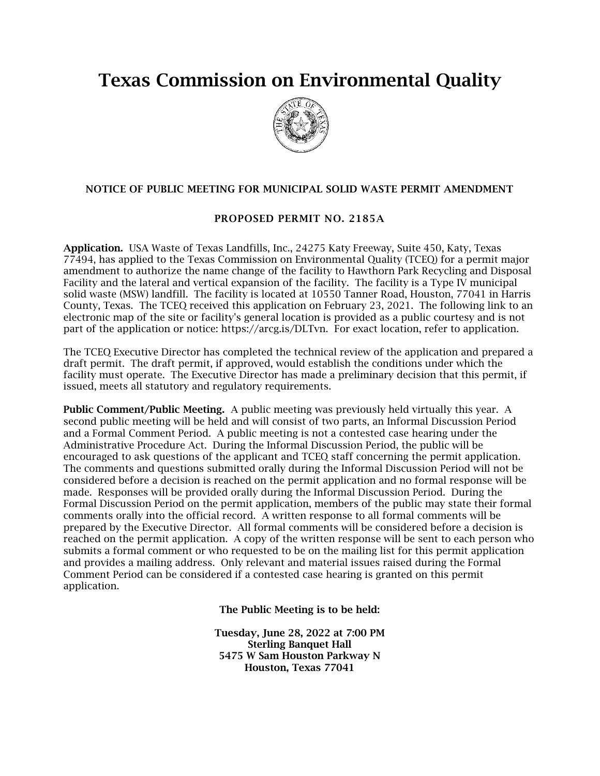## Texas Commission on Environmental Quality



## NOTICE OF PUBLIC MEETING FOR MUNICIPAL SOLID WASTE PERMIT AMENDMENT

## PROPOSED PERMIT NO. 2185A

Application. USA Waste of Texas Landfills, Inc., 24275 Katy Freeway, Suite 450, Katy, Texas 77494, has applied to the Texas Commission on Environmental Quality (TCEQ) for a permit major amendment to authorize the name change of the facility to Hawthorn Park Recycling and Disposal Facility and the lateral and vertical expansion of the facility. The facility is a Type IV municipal solid waste (MSW) landfill. The facility is located at 10550 Tanner Road, Houston, 77041 in Harris County, Texas. The TCEQ received this application on February 23, 2021. The following link to an electronic map of the site or facility's general location is provided as a public courtesy and is not part of the application or notice: https://arcg.is/DLTvn. For exact location, refer to application.

The TCEQ Executive Director has completed the technical review of the application and prepared a draft permit. The draft permit, if approved, would establish the conditions under which the facility must operate. The Executive Director has made a preliminary decision that this permit, if issued, meets all statutory and regulatory requirements.

Public Comment/Public Meeting. A public meeting was previously held virtually this year. A second public meeting will be held and will consist of two parts, an Informal Discussion Period and a Formal Comment Period. A public meeting is not a contested case hearing under the Administrative Procedure Act. During the Informal Discussion Period, the public will be encouraged to ask questions of the applicant and TCEQ staff concerning the permit application. The comments and questions submitted orally during the Informal Discussion Period will not be considered before a decision is reached on the permit application and no formal response will be made. Responses will be provided orally during the Informal Discussion Period. During the Formal Discussion Period on the permit application, members of the public may state their formal comments orally into the official record. A written response to all formal comments will be prepared by the Executive Director. All formal comments will be considered before a decision is reached on the permit application. A copy of the written response will be sent to each person who submits a formal comment or who requested to be on the mailing list for this permit application and provides a mailing address. Only relevant and material issues raised during the Formal Comment Period can be considered if a contested case hearing is granted on this permit application.

The Public Meeting is to be held:

Tuesday, June 28, 2022 at 7:00 PM Sterling Banquet Hall 5475 W Sam Houston Parkway N Houston, Texas 77041